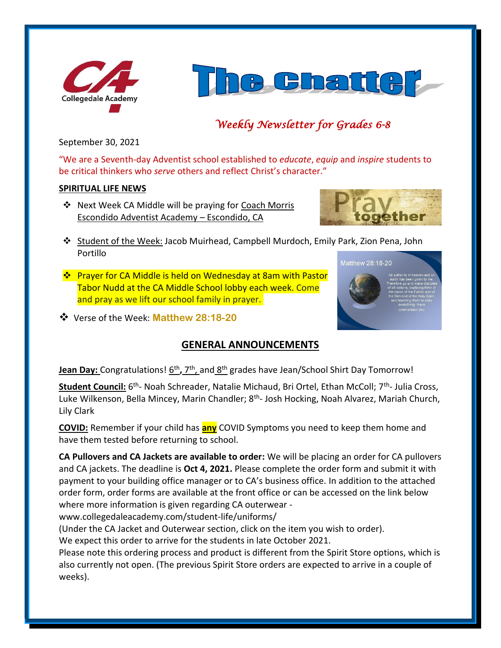



# *Weekly Newsletter for Grades 6-8*

September 30, 2021

"We are a Seventh-day Adventist school established to *educate*, *equip* and *inspire* students to be critical thinkers who *serve* others and reflect Christ's character."

## **SPIRITUAL LIFE NEWS**

❖ Next Week CA Middle will be praying for Coach Morris Escondido Adventist Academy – Escondido, CA



- ❖ Student of the Week: Jacob Muirhead, Campbell Murdoch, Emily Park, Zion Pena, John Portillo Matthew 28:18-20
- ❖ Prayer for CA Middle is held on Wednesday at 8am with Pastor Tabor Nudd at the CA Middle School lobby each week. Come and pray as we lift our school family in prayer.
- ❖ Verse of the Week: **Matthew 28:18-20**

# **GENERAL ANNOUNCEMENTS**

## **Jean Day:** Congratulations!  $\underline{6^{th}}$ , 7<sup>th</sup>, and  $\underline{8^{th}}$  grades have Jean/School Shirt Day Tomorrow!

Student Council: 6<sup>th</sup>- Noah Schreader, Natalie Michaud, Bri Ortel, Ethan McColl; 7<sup>th</sup>- Julia Cross, Luke Wilkenson, Bella Mincey, Marin Chandler; 8<sup>th</sup>- Josh Hocking, Noah Alvarez, Mariah Church, Lily Clark

**COVID:** Remember if your child has **any** COVID Symptoms you need to keep them home and have them tested before returning to school.

**CA Pullovers and CA Jackets are available to order:** We will be placing an order for CA pullovers and CA jackets. The deadline is **Oct 4, 2021.** Please complete the order form and submit it with payment to your building office manager or to CA's business office. In addition to the attached order form, order forms are available at the front office or can be accessed on the link below where more information is given regarding CA outerwear -

www.collegedaleacademy.com/student-life/uniforms/

(Under the CA Jacket and Outerwear section, click on the item you wish to order).

We expect this order to arrive for the students in late October 2021.

Please note this ordering process and product is different from the Spirit Store options, which is also currently not open. (The previous Spirit Store orders are expected to arrive in a couple of weeks).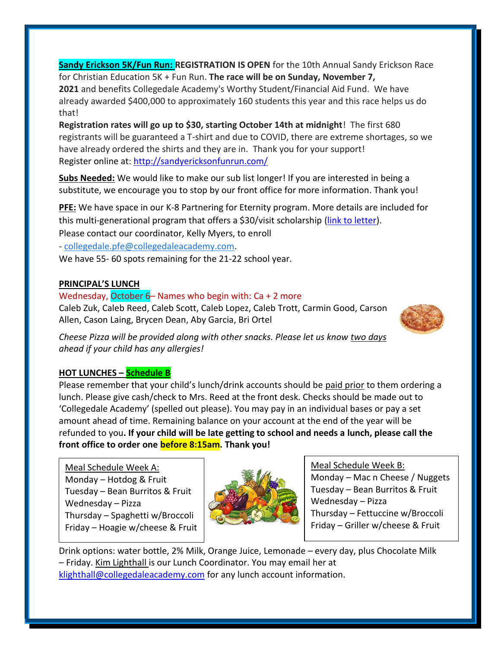**Sandy Erickson 5K/Fun Run: REGISTRATION IS OPEN** for the 10th Annual Sandy Erickson Race for Christian Education 5K + Fun Run. **The race will be on Sunday, November 7, 2021** and benefits Collegedale Academy's Worthy Student/Financial Aid Fund. We have already awarded \$400,000 to approximately 160 students this year and this race helps us do that!

**Registration rates will go up to \$30, starting October 14th at midnight**! The first 680 registrants will be guaranteed a T-shirt and due to COVID, there are extreme shortages, so we have already ordered the shirts and they are in. Thank you for your support! Register online at:<http://sandyericksonfunrun.com/>

**Subs Needed:** We would like to make our sub list longer! If you are interested in being a substitute, we encourage you to stop by our front office for more information. Thank you!

**PFE:** We have space in our K-8 Partnering for Eternity program. More details are included for this multi-generational program that offers a \$30/visit scholarship [\(link to letter\)](https://www.collegedaleacademy.com/wp-content/uploads/2021/09/PFE_PgmEntryExplanation_2021_K-8.pdf). Please contact our coordinator, Kelly Myers, to enroll

- [collegedale.pfe@collegedaleacademy.com.](mailto:collegedale.pfe@collegedaleacademy.com)

We have 55- 60 spots remaining for the 21-22 school year.

## **PRINCIPAL'S LUNCH**

## Wednesday, October 6– Names who begin with:  $Ca + 2$  more

Caleb Zuk, Caleb Reed, Caleb Scott, Caleb Lopez, Caleb Trott, Carmin Good, Carson Allen, Cason Laing, Brycen Dean, Aby Garcia, Bri Ortel



*Cheese Pizza will be provided along with other snacks. Please let us know two days ahead if your child has any allergies!*

## **HOT LUNCHES – Schedule B**

Please remember that your child's lunch/drink accounts should be paid prior to them ordering a lunch. Please give cash/check to Mrs. Reed at the front desk. Checks should be made out to 'Collegedale Academy' (spelled out please). You may pay in an individual bases or pay a set amount ahead of time. Remaining balance on your account at the end of the year will be refunded to you**. If your child will be late getting to school and needs a lunch, please call the front office to order one before 8:15am. Thank you!** 

Meal Schedule Week A: Monday – Hotdog  $&$  Fruit Tuesday – Bean Burritos & Fruit Wednesday – Pizza Thursday – Spaghetti w/Broccoli Friday – Hoagie w/cheese & Fruit



Meal Schedule Week B:

Monday – Mac n Cheese / Nuggets Tuesday – Bean Burritos & Fruit Wednesday – Pizza Thursday – Fettuccine w/Broccoli Friday – Griller w/cheese & Fruit

Drink options: water bottle, 2% Milk, Orange Juice, Lemonade – every day, plus Chocolate Milk – Friday. Kim Lighthall is our Lunch Coordinator. You may email her at [klighthall@collegedaleacademy.com](mailto:klighthall@collegedaleacademy.com) for any lunch account information.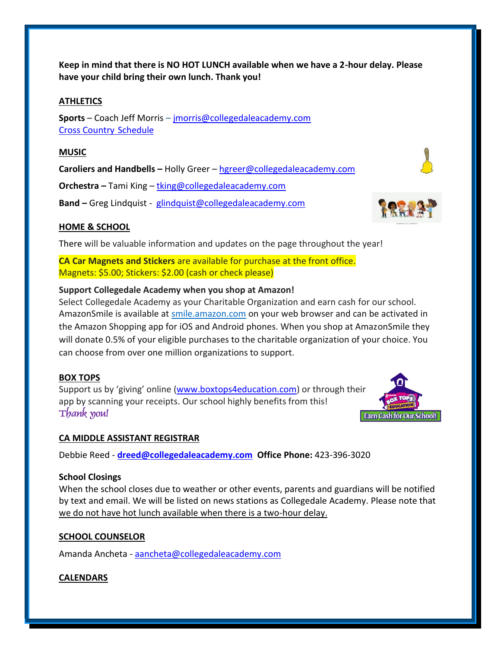**Keep in mind that there is NO HOT LUNCH available when we have a 2-hour delay. Please have your child bring their own lunch. Thank you!**

#### **ATHLETICS**

**Sports** – Coach Jeff Morris – [jmorris@collegedaleacademy.com](mailto:jmorris@collegedaleacademy.com) [Cross Country](https://www.collegedaleacademy.com/wp-content/uploads/2021/08/2021-2022-Cross-Country-Schedule.pdf) Schedule

#### **MUSIC**

**Caroliers and Handbells –** Holly Greer – [hgreer@collegedaleacademy.com](mailto:hgreer@collegedaleacademy.com)

**Orchestra –** Tami King – [tking@collegedaleacademy.com](mailto:tking@collegedaleacademy.com)

**Band –** Greg Lindquist - [glindquist@collegedaleacademy.com](mailto:glindquist@collegedaleacademy.com)

## **HOME & SCHOOL**

There will be valuable information and updates on the page throughout the year!

**CA Car Magnets and Stickers** are available for purchase at the front office. Magnets: \$5.00; Stickers: \$2.00 (cash or check please)

## **Support Collegedale Academy when you shop at Amazon!**

Select Collegedale Academy as your Charitable Organization and earn cash for our school. AmazonSmile is available at [smile.amazon.com](https://smile.amazon.com/ref=smi_se_saas_lsmi_smi) on your web browser and can be activated in the Amazon Shopping app for iOS and Android phones. When you shop at AmazonSmile they will donate 0.5% of your eligible purchases to the charitable organization of your choice. You can choose from over one million organizations to support.

## **BOX TOPS**

Support us by 'giving' online ([www.boxtops4education.com\)](http://www.boxtops4education.com/) or through their app by scanning your receipts. Our school highly benefits from this! **Thank you!**

#### **CA MIDDLE ASSISTANT REGISTRAR**

Debbie Reed - **[dreed@collegedaleacademy.com](mailto:dreed@collegedaleacademy.com) Office Phone:** 423-396-3020

#### **School Closings**

When the school closes due to weather or other events, parents and guardians will be notified by text and email. We will be listed on news stations as Collegedale Academy. Please note that we do not have hot lunch available when there is a two-hour delay.

#### **SCHOOL COUNSELOR**

Amanda Ancheta - [aancheta@collegedaleacademy.com](mailto:aancheta@collegedaleacademy.com)

#### **CALENDARS**